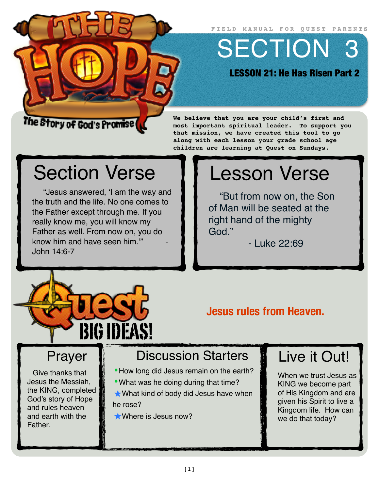**FIELD MANUAL FOR QUEST PARENTS**

SECTION 3

LESSON 21: He Has Risen Part 2

### The Story of God's Promise (

**We believe that you are your child's first and most important spiritual leader. To support you that mission, we have created this tool to go along with each lesson your grade school age children are learning at Quest on Sundays.**

# Section Verse

"Jesus answered, 'I am the way and the truth and the life. No one comes to the Father except through me. If you really know me, you will know my Father as well. From now on, you do know him and have seen him." John 14:6-7



"But from now on, the Son of Man will be seated at the right hand of the mighty God."

- Luke 22:69



**Jesus rules from Heaven.**

# Prayer

Give thanks that Jesus the Messiah, the KING, completed God's story of Hope and rules heaven and earth with the **Father** 

# Discussion Starters

- •How long did Jesus remain on the earth?
- •What was he doing during that time?

★What kind of body did Jesus have when he rose?

★Where is Jesus now?

# Live it Out!

When we trust Jesus as KING we become part of His Kingdom and are given his Spirit to live a Kingdom life. How can we do that today?